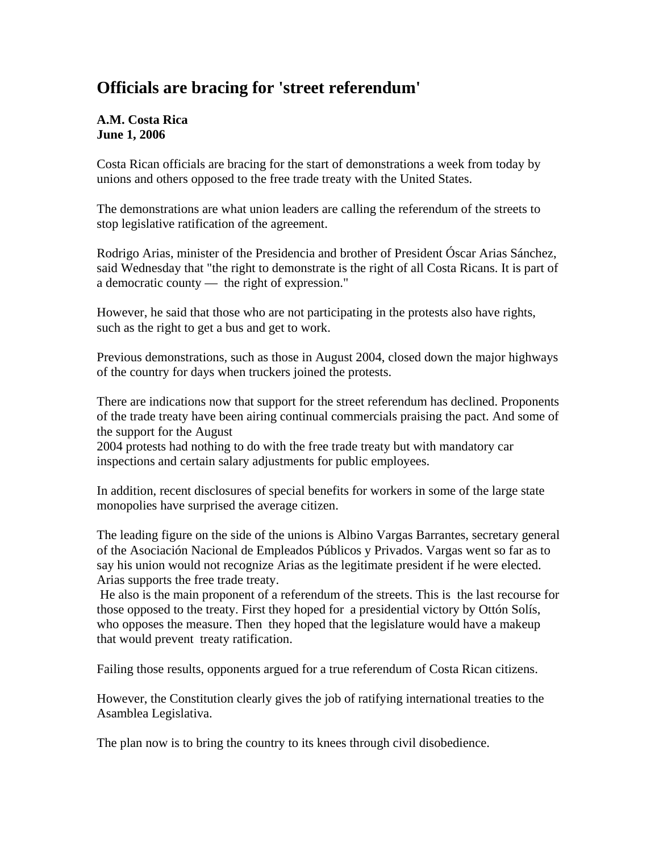## **Officials are bracing for 'street referendum'**

## **A.M. Costa Rica June 1, 2006**

Costa Rican officials are bracing for the start of demonstrations a week from today by unions and others opposed to the free trade treaty with the United States.

The demonstrations are what union leaders are calling the referendum of the streets to stop legislative ratification of the agreement.

Rodrigo Arias, minister of the Presidencia and brother of President Óscar Arias Sánchez, said Wednesday that "the right to demonstrate is the right of all Costa Ricans. It is part of a democratic county — the right of expression."

However, he said that those who are not participating in the protests also have rights, such as the right to get a bus and get to work.

Previous demonstrations, such as those in August 2004, closed down the major highways of the country for days when truckers joined the protests.

There are indications now that support for the street referendum has declined. Proponents of the trade treaty have been airing continual commercials praising the pact. And some of the support for the August

2004 protests had nothing to do with the free trade treaty but with mandatory car inspections and certain salary adjustments for public employees.

In addition, recent disclosures of special benefits for workers in some of the large state monopolies have surprised the average citizen.

The leading figure on the side of the unions is Albino Vargas Barrantes, secretary general of the Asociación Nacional de Empleados Públicos y Privados. Vargas went so far as to say his union would not recognize Arias as the legitimate president if he were elected. Arias supports the free trade treaty.

 He also is the main proponent of a referendum of the streets. This is the last recourse for those opposed to the treaty. First they hoped for a presidential victory by Ottón Solís, who opposes the measure. Then they hoped that the legislature would have a makeup that would prevent treaty ratification.

Failing those results, opponents argued for a true referendum of Costa Rican citizens.

However, the Constitution clearly gives the job of ratifying international treaties to the Asamblea Legislativa.

The plan now is to bring the country to its knees through civil disobedience.